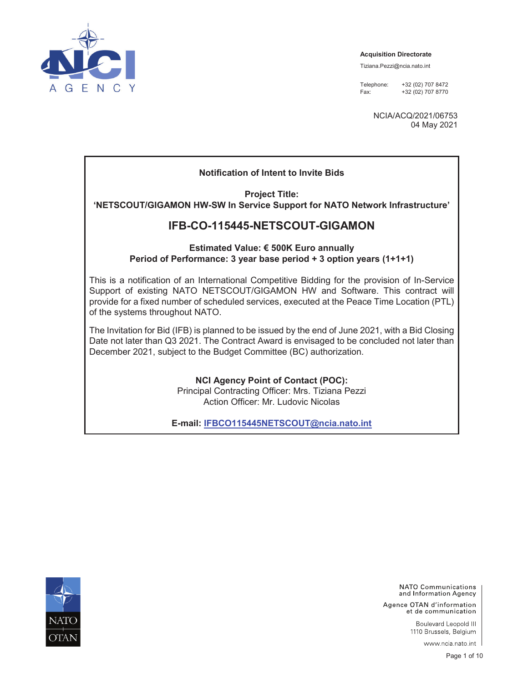

**Acquisition Directorate** 

Tiziana.Pezzi@ncia.nato.int

Telephone: +32 (02) 707 8472 Fax: +32 (02) 707 8770

> NCIA/ACQ/2021/06753 04 May 2021

## **Notification of Intent to Invite Bids**

**Project Title: 'NETSCOUT/GIGAMON HW-SW In Service Support for NATO Network Infrastructure'** 

## **IFB-CO-115445-NETSCOUT-GIGAMON**

### **Estimated Value: € 500K Euro annually Period of Performance: 3 year base period + 3 option years (1+1+1)**

This is a notification of an International Competitive Bidding for the provision of In-Service Support of existing NATO NETSCOUT/GIGAMON HW and Software. This contract will provide for a fixed number of scheduled services, executed at the Peace Time Location (PTL) of the systems throughout NATO.

The Invitation for Bid (IFB) is planned to be issued by the end of June 2021, with a Bid Closing Date not later than Q3 2021. The Contract Award is envisaged to be concluded not later than December 2021, subject to the Budget Committee (BC) authorization.

> **NCI Agency Point of Contact (POC):**  Principal Contracting Officer: Mrs. Tiziana Pezzi Action Officer: Mr. Ludovic Nicolas

**E-mail: IFBCO115445NETSCOUT@ncia.nato.int**



NATO Communications and Information Agency

Agence OTAN d'information et de communication

> Boulevard Leopold III 1110 Brussels, Belgium

> > www.ncia.nato.int |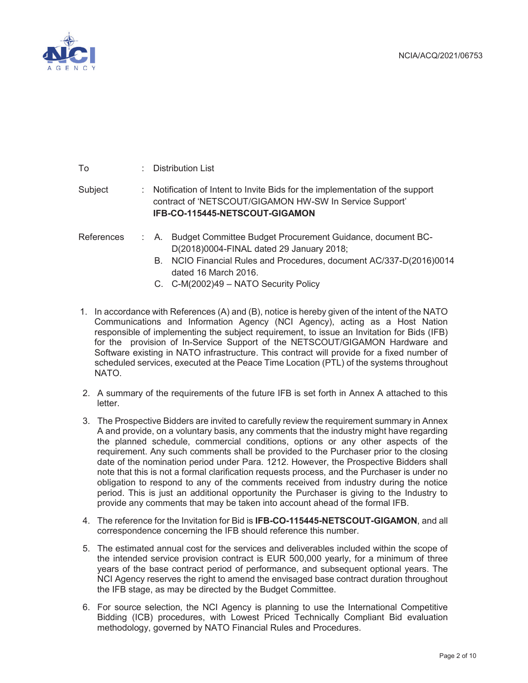

| To         | $\therefore$ Distribution List                                                                                                                                                                                                                            |
|------------|-----------------------------------------------------------------------------------------------------------------------------------------------------------------------------------------------------------------------------------------------------------|
| Subject    | : Notification of Intent to Invite Bids for the implementation of the support<br>contract of 'NETSCOUT/GIGAMON HW-SW In Service Support'<br>IFB-CO-115445-NETSCOUT-GIGAMON                                                                                |
| References | Budget Committee Budget Procurement Guidance, document BC-<br>: A.<br>D(2018)0004-FINAL dated 29 January 2018;<br>NCIO Financial Rules and Procedures, document AC/337-D(2016)0014<br>B.<br>dated 16 March 2016.<br>C. C-M(2002)49 - NATO Security Policy |

- 1. In accordance with References (A) and (B), notice is hereby given of the intent of the NATO Communications and Information Agency (NCI Agency), acting as a Host Nation responsible of implementing the subject requirement, to issue an Invitation for Bids (IFB) for the provision of In-Service Support of the NETSCOUT/GIGAMON Hardware and Software existing in NATO infrastructure. This contract will provide for a fixed number of scheduled services, executed at the Peace Time Location (PTL) of the systems throughout NATO.
- 2. A summary of the requirements of the future IFB is set forth in Annex A attached to this letter.
- 3. The Prospective Bidders are invited to carefully review the requirement summary in Annex A and provide, on a voluntary basis, any comments that the industry might have regarding the planned schedule, commercial conditions, options or any other aspects of the requirement. Any such comments shall be provided to the Purchaser prior to the closing date of the nomination period under Para. 1212. However, the Prospective Bidders shall note that this is not a formal clarification requests process, and the Purchaser is under no obligation to respond to any of the comments received from industry during the notice period. This is just an additional opportunity the Purchaser is giving to the Industry to provide any comments that may be taken into account ahead of the formal IFB.
- 4. The reference for the Invitation for Bid is **IFB-CO-115445-NETSCOUT-GIGAMON**, and all correspondence concerning the IFB should reference this number.
- 5. The estimated annual cost for the services and deliverables included within the scope of the intended service provision contract is EUR 500,000 yearly, for a minimum of three years of the base contract period of performance, and subsequent optional years. The NCI Agency reserves the right to amend the envisaged base contract duration throughout the IFB stage, as may be directed by the Budget Committee.
- 6. For source selection, the NCI Agency is planning to use the International Competitive Bidding (ICB) procedures, with Lowest Priced Technically Compliant Bid evaluation methodology, governed by NATO Financial Rules and Procedures.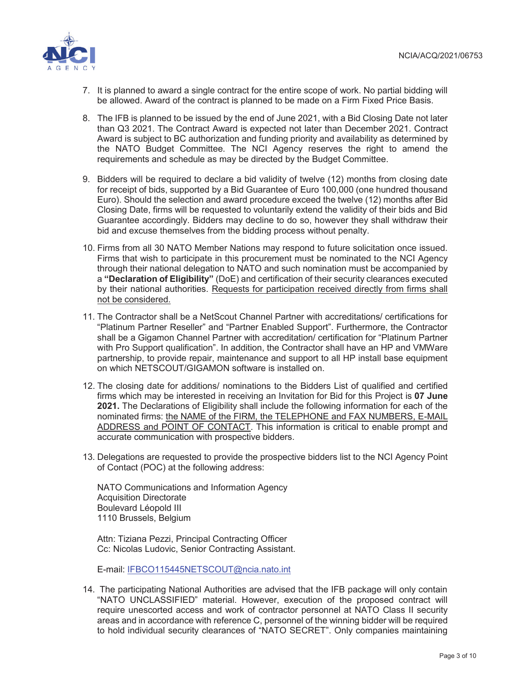

- 7. It is planned to award a single contract for the entire scope of work. No partial bidding will be allowed. Award of the contract is planned to be made on a Firm Fixed Price Basis.
- 8. The IFB is planned to be issued by the end of June 2021, with a Bid Closing Date not later than Q3 2021. The Contract Award is expected not later than December 2021. Contract Award is subject to BC authorization and funding priority and availability as determined by the NATO Budget Committee. The NCI Agency reserves the right to amend the requirements and schedule as may be directed by the Budget Committee.
- 9. Bidders will be required to declare a bid validity of twelve (12) months from closing date for receipt of bids, supported by a Bid Guarantee of Euro 100,000 (one hundred thousand Euro). Should the selection and award procedure exceed the twelve (12) months after Bid Closing Date, firms will be requested to voluntarily extend the validity of their bids and Bid Guarantee accordingly. Bidders may decline to do so, however they shall withdraw their bid and excuse themselves from the bidding process without penalty.
- 10. Firms from all 30 NATO Member Nations may respond to future solicitation once issued. Firms that wish to participate in this procurement must be nominated to the NCI Agency through their national delegation to NATO and such nomination must be accompanied by a **"Declaration of Eligibility"** (DoE) and certification of their security clearances executed by their national authorities. Requests for participation received directly from firms shall not be considered.
- 11. The Contractor shall be a NetScout Channel Partner with accreditations/ certifications for "Platinum Partner Reseller" and "Partner Enabled Support". Furthermore, the Contractor shall be a Gigamon Channel Partner with accreditation/ certification for "Platinum Partner with Pro Support qualification". In addition, the Contractor shall have an HP and VMWare partnership, to provide repair, maintenance and support to all HP install base equipment on which NETSCOUT/GIGAMON software is installed on.
- 12. The closing date for additions/ nominations to the Bidders List of qualified and certified firms which may be interested in receiving an Invitation for Bid for this Project is **07 June 2021.** The Declarations of Eligibility shall include the following information for each of the nominated firms: the NAME of the FIRM, the TELEPHONE and FAX NUMBERS, E-MAIL ADDRESS and POINT OF CONTACT. This information is critical to enable prompt and accurate communication with prospective bidders.
- 13. Delegations are requested to provide the prospective bidders list to the NCI Agency Point of Contact (POC) at the following address:

NATO Communications and Information Agency Acquisition Directorate Boulevard Léopold III 1110 Brussels, Belgium

Attn: Tiziana Pezzi, Principal Contracting Officer Cc: Nicolas Ludovic, Senior Contracting Assistant.

E-mail: IFBCO115445NETSCOUT@ncia.nato.int

14. The participating National Authorities are advised that the IFB package will only contain "NATO UNCLASSIFIED" material. However, execution of the proposed contract will require unescorted access and work of contractor personnel at NATO Class II security areas and in accordance with reference C, personnel of the winning bidder will be required to hold individual security clearances of "NATO SECRET". Only companies maintaining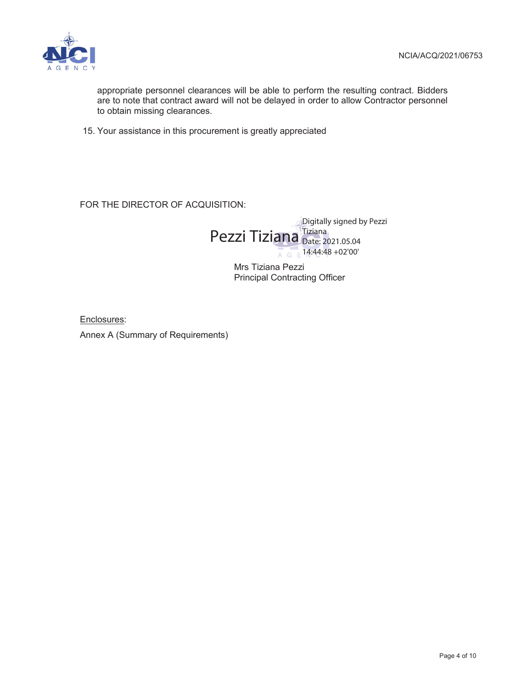

appropriate personnel clearances will be able to perform the resulting contract. Bidders are to note that contract award will not be delayed in order to allow Contractor personnel to obtain missing clearances.

15. Your assistance in this procurement is greatly appreciated

FOR THE DIRECTOR OF ACQUISITION:



Mrs Tiziana Pezzi Principal Contracting Officer

Enclosures:

Annex A (Summary of Requirements)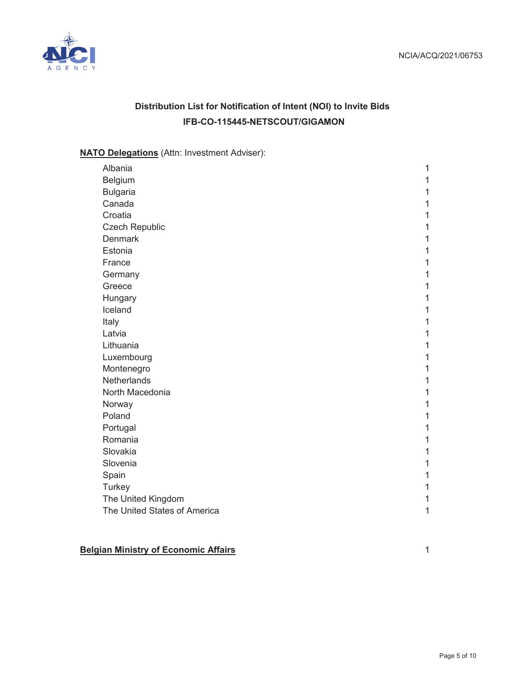

# **Distribution List for Notification of Intent (NOI) to Invite Bids IFB-CO-115445-NETSCOUT/GIGAMON**

## **NATO Delegations** (Attn: Investment Adviser):

| Albania                      | 1 |
|------------------------------|---|
| Belgium                      | 1 |
| <b>Bulgaria</b>              | 1 |
| Canada                       | 1 |
| Croatia                      | 1 |
| <b>Czech Republic</b>        | 1 |
| <b>Denmark</b>               | 1 |
| Estonia                      | 1 |
| France                       | 1 |
| Germany                      | 1 |
| Greece                       | 1 |
| Hungary                      | 1 |
| Iceland                      | 1 |
| Italy                        | 1 |
| Latvia                       | 1 |
| Lithuania                    | 1 |
| Luxembourg                   | 1 |
| Montenegro                   | 1 |
| Netherlands                  | 1 |
| North Macedonia              | 1 |
| Norway                       | 1 |
| Poland                       | 1 |
| Portugal                     | 1 |
| Romania                      | 1 |
| Slovakia                     | 1 |
| Slovenia                     | 1 |
| Spain                        | 1 |
| Turkey                       | 1 |
| The United Kingdom           | 1 |
| The United States of America | 1 |

## **Belgian Ministry of Economic Affairs** 1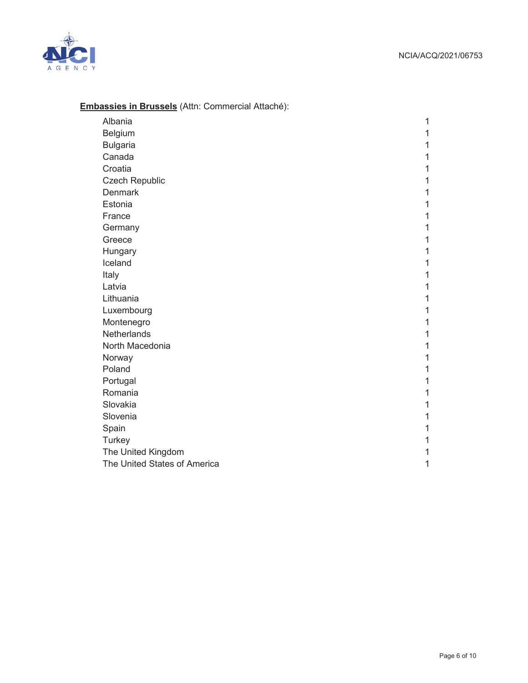

## **Embassies in Brussels** (Attn: Commercial Attaché):

| Albania                      | 1 |
|------------------------------|---|
| Belgium                      | 1 |
| <b>Bulgaria</b>              | 1 |
| Canada                       | 1 |
| Croatia                      | 1 |
| <b>Czech Republic</b>        | 1 |
| <b>Denmark</b>               | 1 |
| Estonia                      | 1 |
| France                       | 1 |
| Germany                      | 1 |
| Greece                       | 1 |
| Hungary                      | 1 |
| Iceland                      | 1 |
| Italy                        | 1 |
| Latvia                       | 1 |
| Lithuania                    | 1 |
| Luxembourg                   | 1 |
| Montenegro                   | 1 |
| Netherlands                  | 1 |
| North Macedonia              | 1 |
| Norway                       | 1 |
| Poland                       | 1 |
| Portugal                     | 1 |
| Romania                      | 1 |
| Slovakia                     | 1 |
| Slovenia                     | 1 |
| Spain                        | 1 |
| Turkey                       | 1 |
| The United Kingdom           | 1 |
| The United States of America | 1 |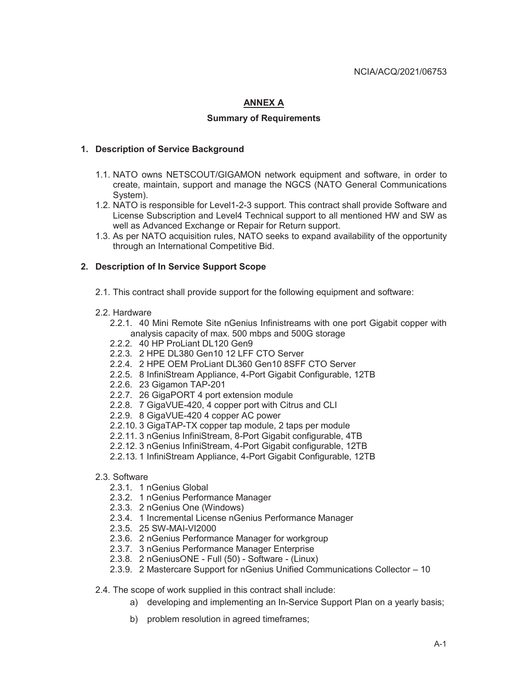## **ANNEX A**

#### **Summary of Requirements**

#### **1. Description of Service Background**

- 1.1. NATO owns NETSCOUT/GIGAMON network equipment and software, in order to create, maintain, support and manage the NGCS (NATO General Communications System).
- 1.2. NATO is responsible for Level1-2-3 support. This contract shall provide Software and License Subscription and Level4 Technical support to all mentioned HW and SW as well as Advanced Exchange or Repair for Return support.
- 1.3. As per NATO acquisition rules, NATO seeks to expand availability of the opportunity through an International Competitive Bid.

#### **2. Description of In Service Support Scope**

- 2.1. This contract shall provide support for the following equipment and software:
- 2.2. Hardware
	- 2.2.1. 40 Mini Remote Site nGenius Infinistreams with one port Gigabit copper with analysis capacity of max. 500 mbps and 500G storage
	- 2.2.2. 40 HP ProLiant DL120 Gen9
	- 2.2.3. 2 HPE DL380 Gen10 12 LFF CTO Server
	- 2.2.4. 2 HPE OEM ProLiant DL360 Gen10 8SFF CTO Server
	- 2.2.5. 8 InfiniStream Appliance, 4-Port Gigabit Configurable, 12TB
	- 2.2.6. 23 Gigamon TAP-201
	- 2.2.7. 26 GigaPORT 4 port extension module
	- 2.2.8. 7 GigaVUE-420, 4 copper port with Citrus and CLI
	- 2.2.9. 8 GigaVUE-420 4 copper AC power
	- 2.2.10. 3 GigaTAP-TX copper tap module, 2 taps per module
	- 2.2.11. 3 nGenius InfiniStream, 8-Port Gigabit configurable, 4TB
	- 2.2.12. 3 nGenius InfiniStream, 4-Port Gigabit configurable, 12TB
	- 2.2.13. 1 InfiniStream Appliance, 4-Port Gigabit Configurable, 12TB
- 2.3. Software
	- 2.3.1. 1 nGenius Global
	- 2.3.2. 1 nGenius Performance Manager
	- 2.3.3. 2 nGenius One (Windows)
	- 2.3.4. 1 Incremental License nGenius Performance Manager
	- 2.3.5. 25 SW-MAI-VI2000
	- 2.3.6. 2 nGenius Performance Manager for workgroup
	- 2.3.7. 3 nGenius Performance Manager Enterprise
	- 2.3.8. 2 nGeniusONE Full (50) Software (Linux)
	- 2.3.9. 2 Mastercare Support for nGenius Unified Communications Collector 10

2.4. The scope of work supplied in this contract shall include:

- a) developing and implementing an In-Service Support Plan on a yearly basis;
- b) problem resolution in agreed timeframes;